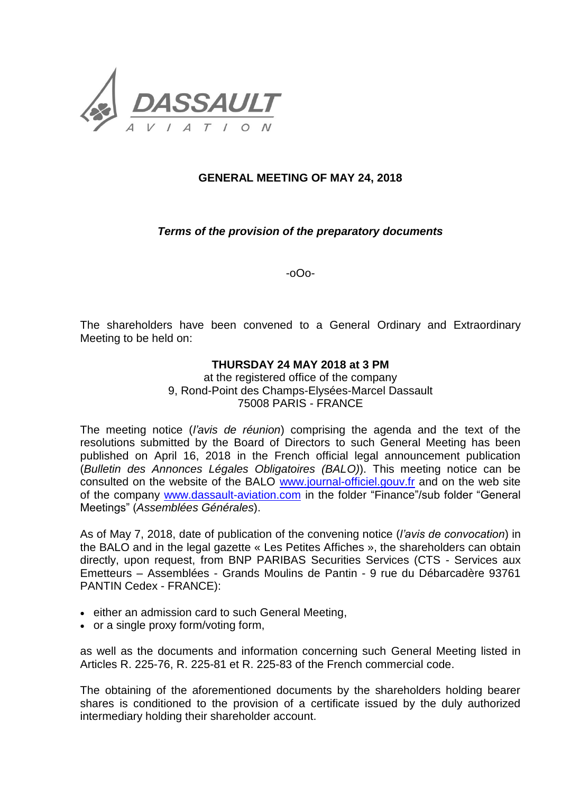

## **GENERAL MEETING OF MAY 24, 2018**

## *Terms of the provision of the preparatory documents*

-oOo-

The shareholders have been convened to a General Ordinary and Extraordinary Meeting to be held on:

## **THURSDAY 24 MAY 2018 at 3 PM**

at the registered office of the company 9, Rond-Point des Champs-Elysées-Marcel Dassault 75008 PARIS - FRANCE

The meeting notice (*l'avis de réunion*) comprising the agenda and the text of the resolutions submitted by the Board of Directors to such General Meeting has been published on April 16, 2018 in the French official legal announcement publication (*Bulletin des Annonces Légales Obligatoires (BALO)*). This meeting notice can be consulted on the website of the BALO [www.journal-officiel.gouv.fr](http://www.journal-officiel.gouv.fr/) and on the web site of the company [www.dassault-aviation.com](http://www.dassault-aviation.com/) in the folder "Finance"/sub folder "General Meetings" (*Assemblées Générales*).

As of May 7, 2018, date of publication of the convening notice (*l'avis de convocation*) in the BALO and in the legal gazette « Les Petites Affiches », the shareholders can obtain directly, upon request, from BNP PARIBAS Securities Services (CTS - Services aux Emetteurs – Assemblées - Grands Moulins de Pantin - 9 rue du Débarcadère 93761 PANTIN Cedex - FRANCE):

- either an admission card to such General Meeting,
- or a single proxy form/voting form,

as well as the documents and information concerning such General Meeting listed in Articles R. 225-76, R. 225-81 et R. 225-83 of the French commercial code.

The obtaining of the aforementioned documents by the shareholders holding bearer shares is conditioned to the provision of a certificate issued by the duly authorized intermediary holding their shareholder account.